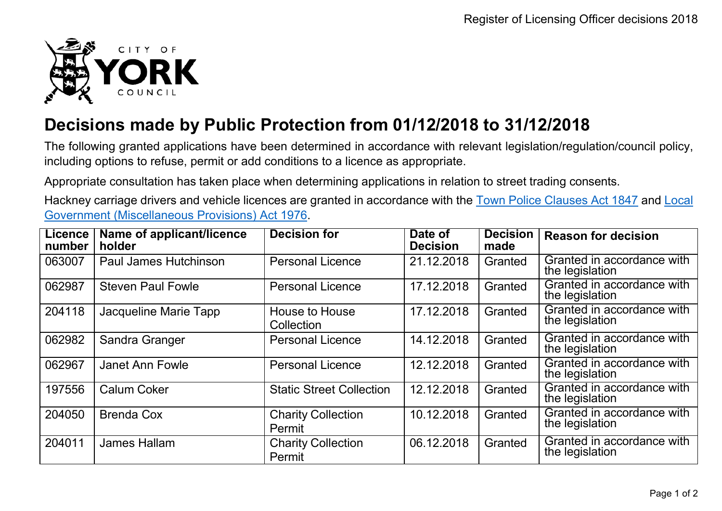

## **Decisions made by Public Protection from 01/12/2018 to 31/12/2018**

The following granted applications have been determined in accordance with relevant legislation/regulation/council policy, including options to refuse, permit or add conditions to a licence as appropriate.

Appropriate consultation has taken place when determining applications in relation to street trading consents.

Hackney carriage drivers and vehicle licences are granted in accordance with the Town Police [Clauses](http://www.legislation.gov.uk/ukpga/Vict/10-11/89) Act 1847 and [Local](http://www.legislation.gov.uk/ukpga/1976/57) [Government \(Miscellaneous Provisions\) Act 1976.](http://www.legislation.gov.uk/ukpga/1976/57)

| <b>Licence</b><br>number | Name of applicant/licence<br>holder | <b>Decision for</b>                 | Date of<br><b>Decision</b> | <b>Decision</b><br>made | <b>Reason for decision</b>                    |
|--------------------------|-------------------------------------|-------------------------------------|----------------------------|-------------------------|-----------------------------------------------|
| 063007                   | <b>Paul James Hutchinson</b>        | <b>Personal Licence</b>             | 21.12.2018                 | Granted                 | Granted in accordance with<br>the legislation |
| 062987                   | <b>Steven Paul Fowle</b>            | <b>Personal Licence</b>             | 17.12.2018                 | Granted                 | Granted in accordance with<br>the legislation |
| 204118                   | Jacqueline Marie Tapp               | <b>House to House</b><br>Collection | 17.12.2018                 | Granted                 | Granted in accordance with<br>the legislation |
| 062982                   | Sandra Granger                      | <b>Personal Licence</b>             | 14.12.2018                 | Granted                 | Granted in accordance with<br>the legislation |
| 062967                   | <b>Janet Ann Fowle</b>              | <b>Personal Licence</b>             | 12.12.2018                 | Granted                 | Granted in accordance with<br>the legislation |
| 197556                   | <b>Calum Coker</b>                  | <b>Static Street Collection</b>     | 12.12.2018                 | Granted                 | Granted in accordance with<br>the legislation |
| 204050                   | <b>Brenda Cox</b>                   | <b>Charity Collection</b><br>Permit | 10.12.2018                 | Granted                 | Granted in accordance with<br>the legislation |
| 204011                   | <b>James Hallam</b>                 | <b>Charity Collection</b><br>Permit | 06.12.2018                 | Granted                 | Granted in accordance with<br>the legislation |